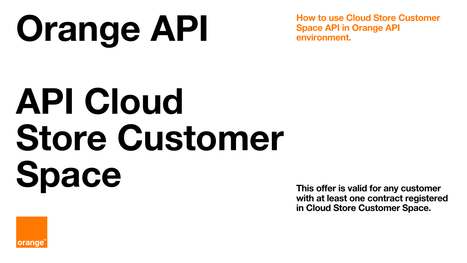# **Orange API**

**How to use Cloud Store Customer Space API in Orange API environment.**

# **API Cloud Store Customer Space**

**This offer is valid for any customer with at least one contract registered in Cloud Store Customer Space.** 

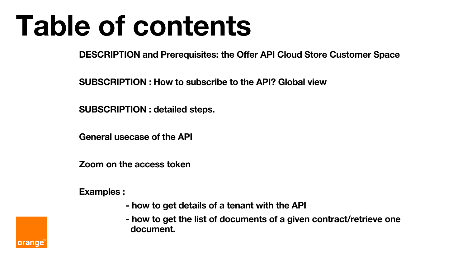# **Table of contents**

**DESCRIPTION and Prerequisites: the Offer API Cloud Store Customer Space**

**SUBSCRIPTION : How to subscribe to the API? Global view**

**SUBSCRIPTION : detailed steps.**

**General usecase of the API**

**Zoom on the access token**

**Examples :**

- **- how to get details of a tenant with the API**
- **- how to get the list of documents of a given contract/retrieve one document.**

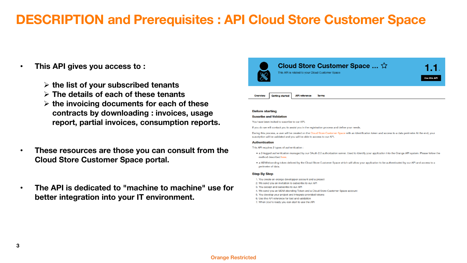#### • **This API gives you access to :**

- ➢ **the list of your subscribed tenants**
- ➢ **The details of each of these tenants**
- ➢ **the invoicing documents for each of these contracts by downloading : invoices, usage report, partial invoices, consumption reports.**
- **These resources are those you can consult from the Cloud Store Customer Space portal.**
- **The API is dedicated to "machine to machine" use for better integration into your IT environment.**



#### **Before starting**

#### **Suscribe and Validation**

You have been invited to suscribe to our API.

If you do we will contact you to assist you in the registration process and define your needs.

During this process, a user will be created on the Cloud Store Customer Space with an identification token and access to a data perimeter At the end, your suscription will be validated and you will be able to access to our API.

#### **Authentication**

This API requires 2 types of authentication:

- · a 2-legged authentication managed by our OAuth 2.0 authorization server. Used to identify your application into the Orange API system. Please follow the method described here.
- · a M2M/ebonding token delivred by the Cloud Store Customer Space which will allow your application to be authenticated by our API and access to a perimeter of data.

#### **Step By Step**

- 1. You create an orange developper account and a project
- 2. We send you an invitation to subscribe to our API
- 3. You accept and subscribe to our API
- 4. We send you an M2M ebonding Token and a Cloud Store Customer Space account
- 5. You develop your project and integrate provided tokens
- 6. Use the API reference for test and validation
- 7. When you're ready you can start to use the API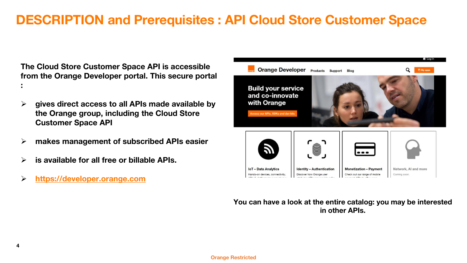**The Cloud Store Customer Space API is accessible from the Orange Developer portal. This secure portal :**

- ➢ **gives direct access to all APIs made available by the Orange group, including the Cloud Store Customer Space API**
- ➢ **makes management of subscribed APIs easier**
- ➢ **is available for all free or billable APIs.**
- ➢ **[https://developer.orange.com](https://developer.orange.com/)**



**You can have a look at the entire catalog: you may be interested in other APIs.**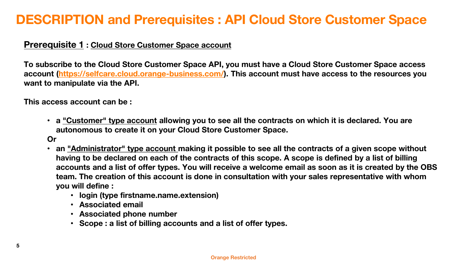#### **Prerequisite 1 : Cloud Store Customer Space account**

**To subscribe to the Cloud Store Customer Space API, you must have a Cloud Store Customer Space access account [\(https://selfcare.cloud.orange-business.com/](https://selfcare.cloud.orange-business.com/)). This account must have access to the resources you want to manipulate via the API.**

**This access account can be :**

• **a "Customer" type account allowing you to see all the contracts on which it is declared. You are autonomous to create it on your Cloud Store Customer Space.**

**Or**

- **an "Administrator" type account making it possible to see all the contracts of a given scope without having to be declared on each of the contracts of this scope. A scope is defined by a list of billing accounts and a list of offer types. You will receive a welcome email as soon as it is created by the OBS team. The creation of this account is done in consultation with your sales representative with whom you will define :**
	- **login (type firstname.name.extension)**
	- **Associated email**
	- **Associated phone number**
	- **Scope : a list of billing accounts and a list of offer types.**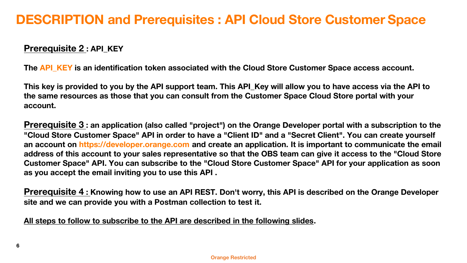### **Prerequisite 2 : API\_KEY**

The API\_KEY is an identification token associated with the Cloud Store Customer Space access account.

**This key is provided to you by the API support team. This API\_Key will allow you to have access via the API to the same resources as those that you can consult from the Customer Space Cloud Store portal with your account.**

**Prerequisite 3 : an application (also called "project") on the Orange Developer portal with a subscription to the "Cloud Store Customer Space" API in order to have a "Client ID" and a "Secret Client". You can create yourself an account on https://developer.orange.com and create an application. It is important to communicate the email address of this account to your sales representative so that the OBS team can give it access to the "Cloud Store Customer Space" API. You can subscribe to the "Cloud Store Customer Space" API for your application as soon as you accept the email inviting you to use this API .**

**Prerequisite 4 : Knowing how to use an API REST. Don't worry, this API is described on the Orange Developer site and we can provide you with a Postman collection to test it.**

**All steps to follow to subscribe to the API are described in the following slides.**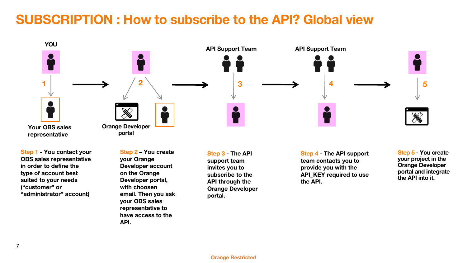# **SUBSCRIPTION : How to subscribe to the API? Global view**



**Step 1 - You contact your OBS sales representative in order to define the type of account best suited to your needs ("customer" or "administrator" account)**

**Step 2 – You create your Orange Developer account on the Orange Developer portal, with choosen email. Then you ask your OBS sales representative to have access to the API.**

**Step 3 - The API support team invites you to subscribe to the API through the Orange Developer portal.**

**Step 4 - The API support team contacts you to provide you with the API\_KEY required to use the API.** 

**Step 5 - You create your project in the Orange Developer portal and integrate the API into it.**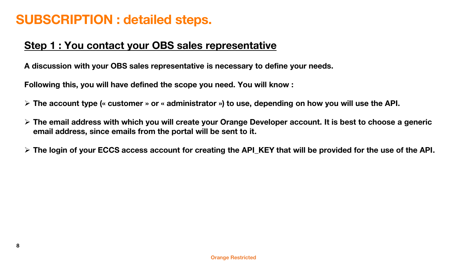### **Step 1 : You contact your OBS sales representative**

**A discussion with your OBS sales representative is necessary to define your needs.**

**Following this, you will have defined the scope you need. You will know :**

- ➢ **The account type (« customer » or « administrator ») to use, depending on how you will use the API.**
- ➢ **The email address with which you will create your Orange Developer account. It is best to choose a generic email address, since emails from the portal will be sent to it.**
- ➢ **The login of your ECCS access account for creating the API\_KEY that will be provided for the use of the API.**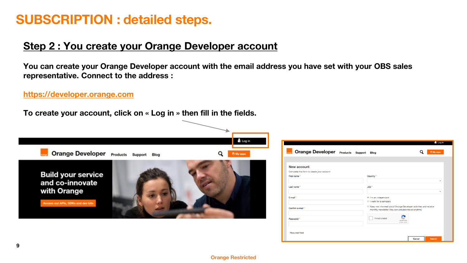### **Step 2 : You create your Orange Developer account**

**You can create your Orange Developer account with the email address you have set with your OBS sales representative. Connect to the address :**

**[https://developer.orange.com](https://developer.orange.com/)**

**To create your account, click on « Log in » then fill in the fields.**



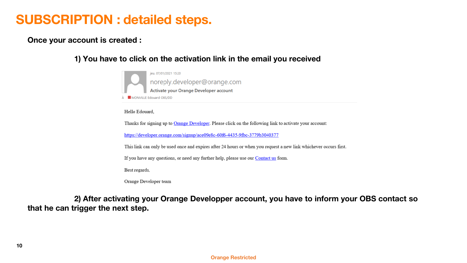**Once your account is created :**

#### **1) You have to click on the activation link in the email you received**



Hello Edouard,

Thanks for signing up to Orange Developer. Please click on the following link to activate your account:

https://developer.orange.com/signup/ace09e8c-60f6-4435-9fbc-3779b3040377

This link can only be used once and expires after 24 hours or when you request a new link whichever occurs first.

If you have any questions, or need any further help, please use our Contact us form.

Best regards,

Orange Developer team

**2) After activating your Orange Developper account, you have to inform your OBS contact so that he can trigger the next step.**

#### **Orange Restricted**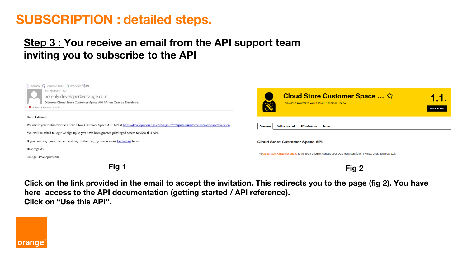## **Step 3 : You receive an email from the API support team inviting you to subscribe to the API**



**Click on the link provided in the email to accept the invitation. This redirects you to the page (fig 2). You have here access to the API documentation (getting started / API reference). Click on "Use this API".**

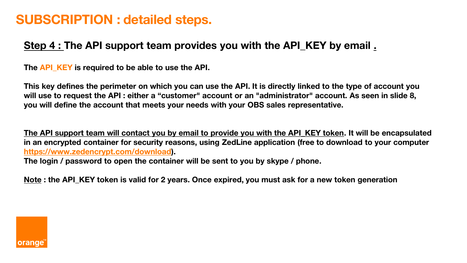## **Step 4 : The API support team provides you with the API\_KEY by email .**

**The API\_KEY is required to be able to use the API.**

**This key defines the perimeter on which you can use the API. It is directly linked to the type of account you will use to request the API : either a "customer" account or an "administrator" account. As seen in slide 8, you will define the account that meets your needs with your OBS sales representative.**

**The API support team will contact you by email to provide you with the API\_KEY token. It will be encapsulated in an encrypted container for security reasons, using ZedLine application (free to download to your computer <https://www.zedencrypt.com/download>).**

**The login / password to open the container will be sent to you by skype / phone.**

**Note : the API\_KEY token is valid for 2 years. Once expired, you must ask for a new token generation**

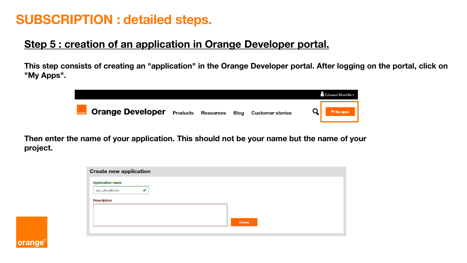## **Step 5 : creation of an application in Orange Developer portal.**

**This step consists of creating an "application" in the Orange Developer portal. After logging on the portal, click on "My Apps".**



**Then enter the name of your application. This should not be your name but the name of your project.**

| <b>Create new application</b> |  |        |  |
|-------------------------------|--|--------|--|
| <b>Application name</b>       |  |        |  |
| api_cloudstore<br>◡           |  |        |  |
| <b>Description</b>            |  |        |  |
|                               |  |        |  |
|                               |  |        |  |
|                               |  | Create |  |
|                               |  |        |  |

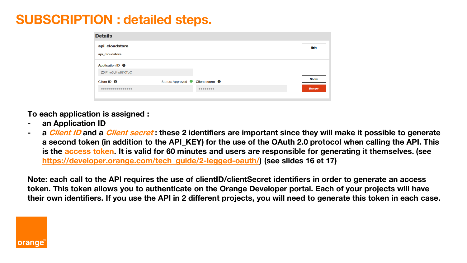| <b>Details</b>              |                                             |                     |       |
|-----------------------------|---------------------------------------------|---------------------|-------|
| api_cloudstore              |                                             |                     | Edit  |
| api cloudstore              |                                             |                     |       |
| Application ID <sup>0</sup> |                                             |                     |       |
| Z0IPhw3d4w87KTpC            |                                             |                     |       |
| Client ID <b>O</b>          | Status: Approved Client secret <sup>0</sup> |                     | Show  |
|                             |                                             | $0 0 0 0 0 0 0 0 0$ | Renew |
|                             |                                             |                     |       |

**To each application is assigned :**

- **- an Application ID**
- **- a Client ID and a Client secret : these 2 identifiers are important since they will make it possible to generate**  a second token (in addition to the API\_KEY) for the use of the OAuth 2.0 protocol when calling the API. This **is the access token. It is valid for 60 minutes and users are responsible for generating it themselves. (see [https://developer.orange.com/tech\\_guide/2-legged-oauth/\)](https://developer.orange.com/tech_guide/2-legged-oauth/) (see slides 16 et 17)**

**Note: each call to the API requires the use of clientID/clientSecret identifiers in order to generate an access token. This token allows you to authenticate on the Orange Developer portal. Each of your projects will have their own identifiers. If you use the API in 2 different projects, you will need to generate this token in each case.**

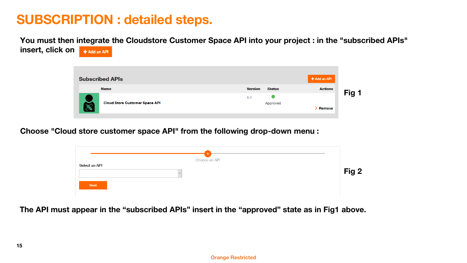**You must then integrate the Cloudstore Customer Space API into your project : in the "subscribed APIs" insert, click on**  $+$  Add an API



**Choose "Cloud store customer space API" from the following drop-down menu :**

| Choose an API |       |
|---------------|-------|
| Select an API | Fig 2 |
| Next          |       |

**The API must appear in the "subscribed APIs" insert in the "approved" state as in Fig1 above.**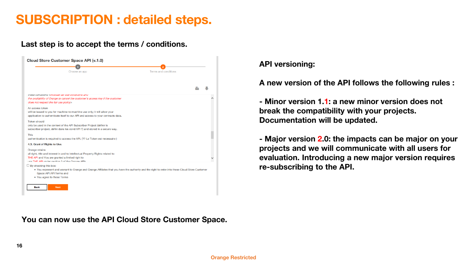#### **Last step is to accept the terms / conditions.**

| Terms and conditions |                                                                                                                                                |
|----------------------|------------------------------------------------------------------------------------------------------------------------------------------------|
|                      |                                                                                                                                                |
|                      |                                                                                                                                                |
|                      |                                                                                                                                                |
|                      |                                                                                                                                                |
|                      |                                                                                                                                                |
|                      |                                                                                                                                                |
|                      |                                                                                                                                                |
|                      |                                                                                                                                                |
|                      |                                                                                                                                                |
|                      | . You represent and warrant to Orange and Orange Affiliates that you have the authority and the right to enter into these Cloud Store Customer |

**API versioning:**

**A new version of the API follows the following rules :** 

**- Minor version 1.1: a new minor version does not break the compatibility with your projects. Documentation will be updated.**

**- Major version 2.0: the impacts can be major on your projects and we will communicate with all users for evaluation. Introducing a new major version requires re-subscribing to the API.**

**You can now use the API Cloud Store Customer Space.**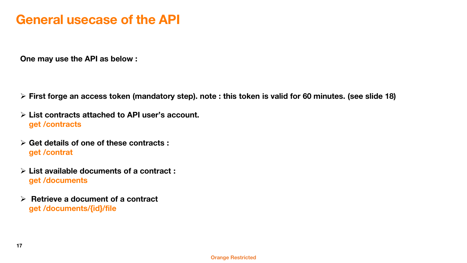# **General usecase of the API**

**One may use the API as below :**

- ➢ **First forge an access token (mandatory step). note : this token is valid for 60 minutes. (see slide 18)**
- ➢ **List contracts attached to API user's account. get /contracts**
- ➢ **Get details of one of these contracts : get /contrat**
- ➢ **List available documents of a contract : get /documents**
- ➢ **Retrieve a document of a contract get /documents/{id}/file**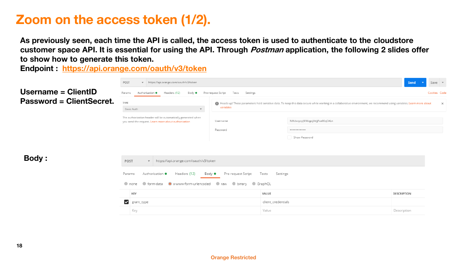# **Zoom on the access token (1/2).**

**As previously seen, each time the API is called, the access token is used to authenticate to the cloudstore customer space API. It is essential for using the API. Through Postman application, the following 2 slides offer to show how to generate this token.**

**Endpoint : <https://api.orange.com/oauth/v3/token>**

|                                 | https://api.orange.com/oauth/v3/token<br>POST<br>$\overline{\mathbf{v}}$                                          |                                                                                                                                                                                    |                                  | Save $\overline{\phantom{a}}$<br>Send |  |
|---------------------------------|-------------------------------------------------------------------------------------------------------------------|------------------------------------------------------------------------------------------------------------------------------------------------------------------------------------|----------------------------------|---------------------------------------|--|
| Username = ClientID             | Headers (12)<br>Params<br>Authorization <sup>@</sup><br>Body $\bullet$                                            | Pre-request Script<br>Tests<br>Settings                                                                                                                                            |                                  | Cookies Code                          |  |
| <b>Password = ClientSecret.</b> | TYPE                                                                                                              | Heads up! These parameters hold sensitive data. To keep this data secure while working in a collaborative environment, we recommend using variables. Learn more about<br>variables |                                  | $\times$                              |  |
|                                 | Basic Auth<br>$\overline{\mathbf{v}}$<br>The authorization header will be automatically generated when            |                                                                                                                                                                                    |                                  |                                       |  |
|                                 | you send the request. Learn more about authorization                                                              | Username                                                                                                                                                                           | NIKdxvycpJ9IWzgojVitJjFxa90qCALn |                                       |  |
|                                 |                                                                                                                   | Password                                                                                                                                                                           |                                  |                                       |  |
|                                 |                                                                                                                   |                                                                                                                                                                                    | Show Password                    |                                       |  |
|                                 |                                                                                                                   |                                                                                                                                                                                    |                                  |                                       |  |
|                                 |                                                                                                                   |                                                                                                                                                                                    |                                  |                                       |  |
| <b>Body:</b>                    | https://api.orange.com/oauth/v3/token<br>POST<br>$\mathbf{v}$                                                     |                                                                                                                                                                                    |                                  |                                       |  |
|                                 | Headers (12)<br>Params<br>Authorization <sup>@</sup><br>Pre-request Script<br>Body $\bullet$<br>Tests<br>Settings |                                                                                                                                                                                    |                                  |                                       |  |
|                                 | $\bullet$ none<br>● form-data<br>· x-www-form-urlencoded<br>binary GraphQL<br>$\bullet$ raw                       |                                                                                                                                                                                    |                                  |                                       |  |
|                                 | KEY                                                                                                               | VALUE                                                                                                                                                                              |                                  | <b>DESCRIPTION</b>                    |  |
|                                 | $\blacktriangledown$ grant_type                                                                                   |                                                                                                                                                                                    | client_credentials               |                                       |  |
|                                 | Key                                                                                                               | Value                                                                                                                                                                              |                                  | Description                           |  |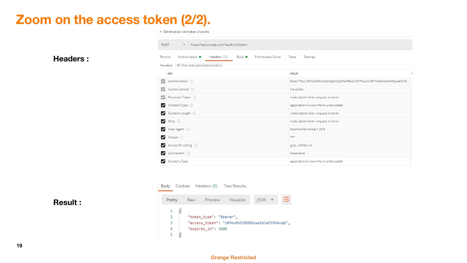# **Zoom on the access token (2/2).**

▶ Génération de token d'accès

+ https://api.orange.com/oauth/v3/token

POST

| <b>Headers:</b> |  |
|-----------------|--|
|-----------------|--|

| Params | Pre-request Script<br>Authorization ·<br>Headers (12)<br>Body $\bullet$<br>Headers $\emptyset$ Hide auto-generated headers | Tests<br>Settings                                               |  |
|--------|----------------------------------------------------------------------------------------------------------------------------|-----------------------------------------------------------------|--|
|        | KEY                                                                                                                        | VALUE                                                           |  |
|        | Authorization (i)                                                                                                          | Basic TmxLZHh2eWNwSjIsV3pnb2pWaXRKakZ4YTkwcUNBTG46ampKdWpveGNiR |  |
|        | Cache-Control (i)                                                                                                          | no-cache                                                        |  |
|        | Postman-Token (i)                                                                                                          | <calculated is="" request="" sent="" when=""></calculated>      |  |
| ◡      | Content-Type (i)                                                                                                           | application/x-www-form-urlencoded                               |  |
| ◡      | Content-Length (i)                                                                                                         | <calculated is="" request="" sent="" when=""></calculated>      |  |
| ☑      | Host (i)                                                                                                                   | <calculated is="" request="" sent="" when=""></calculated>      |  |
| ◡      | User-Agent (i)                                                                                                             | PostmanRuntime/7.26.8                                           |  |
| ☑      | Accept ①                                                                                                                   | $\star/\star$                                                   |  |
| ◡      | Accept-Encoding (i)                                                                                                        | gzip, deflate, br                                               |  |
|        | Connection (i)                                                                                                             | keep-alive                                                      |  |
|        | Content_Type                                                                                                               | application/x-www-form-urlencoded                               |  |



#### **Result :**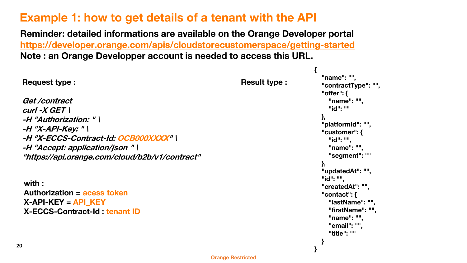## **Example 1: how to get details of a tenant with the API**

**Reminder: detailed informations are available on the Orange Developer portal <https://developer.orange.com/apis/cloudstorecustomerspace/getting-started> Note : an Orange Developper account is needed to access this URL.**

**20 Orange Restricted Request type : Get /contract curl -X GET \ -H "Authorization: " \ -H "X-API-Key: " \ -H "X-ECCS-Contract-Id: OCB000XXXX" \ -H "Accept: application/json " \ "https://api.orange.com/cloud/b2b/v1/contract" { "name": "", "contractType": "", "offer": { "name": "", "id": "" }, "platformId": "", "customer": { "id": "", "name": "", "segment": "" }, "updatedAt": "", "id": "", "createdAt": "", "contact": { "lastName": "", "firstName": "", "name": "", "email": "", "title": "" } } with : Authorization = acess token X-API-KEY = API\_KEY X-ECCS-Contract-Id : tenant ID Result type :**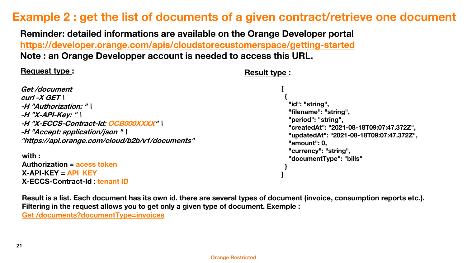## **Example 2 : get the list of documents of a given contract/retrieve one document**

**Reminder: detailed informations are available on the Orange Developer portal <https://developer.orange.com/apis/cloudstorecustomerspace/getting-started> Note : an Orange Developper account is needed to access this URL.**

#### **Request type :**

#### **Result type :**

```
Get /document
curl -X GET \
-H "Authorization: " \
-H "X-API-Key: " \
-H "X-ECCS-Contract-Id: OCB000XXXX" \
-H "Accept: application/json " \
"https://api.orange.com/cloud/b2b/v1/documents"
with :
Authorization = acess token
X-API-KEY = API_KEY
X-ECCS-Contract-Id : tenant ID
                                                                                [
                                                                                 {
                                                                                  "id": "string",
                                                                                  "filename": "string",
                                                                                  "period": "string",
                                                                                  "createdAt": "2021-08-18T09:07:47.372Z",
                                                                                  "updatedAt": "2021-08-18T09:07:47.372Z",
                                                                                  "amount": 0,
                                                                                  "currency": "string",
                                                                                  "documentType": "bills"
                                                                                 }
                                                                                ]
```
**Result is a list. Each document has its own id. there are several types of document (invoice, consumption reports etc.). Filtering in the request allows you to get only a given type of document. Exemple : Get [/documents?documentType=invoices](https://api.orange.com/cloud/b2b/v1/documents?documentType=invoices)**